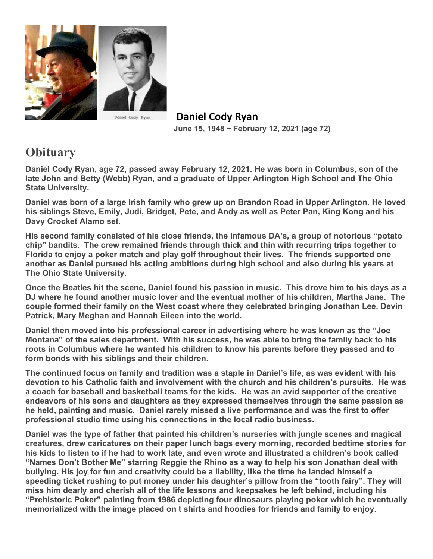

 **Daniel Cody Ryan June 15, 1948 ~ February 12, 2021 (age 72)** 

## **Obituary**

**Daniel Cody Ryan, age 72, passed away February 12, 2021. He was born in Columbus, son of the late John and Betty (Webb) Ryan, and a graduate of Upper Arlington High School and The Ohio State University.** 

**Daniel was born of a large Irish family who grew up on Brandon Road in Upper Arlington. He loved his siblings Steve, Emily, Judi, Bridget, Pete, and Andy as well as Peter Pan, King Kong and his Davy Crocket Alamo set.**

**His second family consisted of his close friends, the infamous DA's, a group of notorious "potato chip" bandits. The crew remained friends through thick and thin with recurring trips together to Florida to enjoy a poker match and play golf throughout their lives. The friends supported one another as Daniel pursued his acting ambitions during high school and also during his years at The Ohio State University.**

**Once the Beatles hit the scene, Daniel found his passion in music. This drove him to his days as a DJ where he found another music lover and the eventual mother of his children, Martha Jane. The couple formed their family on the West coast where they celebrated bringing Jonathan Lee, Devin Patrick, Mary Meghan and Hannah Eileen into the world.**

**Daniel then moved into his professional career in advertising where he was known as the "Joe Montana" of the sales department. With his success, he was able to bring the family back to his roots in Columbus where he wanted his children to know his parents before they passed and to form bonds with his siblings and their children.**

**The continued focus on family and tradition was a staple in Daniel's life, as was evident with his devotion to his Catholic faith and involvement with the church and his children's pursuits. He was a coach for baseball and basketball teams for the kids. He was an avid supporter of the creative endeavors of his sons and daughters as they expressed themselves through the same passion as he held, painting and music. Daniel rarely missed a live performance and was the first to offer professional studio time using his connections in the local radio business.**

**Daniel was the type of father that painted his children's nurseries with jungle scenes and magical creatures, drew caricatures on their paper lunch bags every morning, recorded bedtime stories for his kids to listen to if he had to work late, and even wrote and illustrated a children's book called "Names Don't Bother Me" starring Reggie the Rhino as a way to help his son Jonathan deal with bullying. His joy for fun and creativity could be a liability, like the time he landed himself a speeding ticket rushing to put money under his daughter's pillow from the "tooth fairy". They will miss him dearly and cherish all of the life lessons and keepsakes he left behind, including his "Prehistoric Poker" painting from 1986 depicting four dinosaurs playing poker which he eventually memorialized with the image placed on t shirts and hoodies for friends and family to enjoy.**